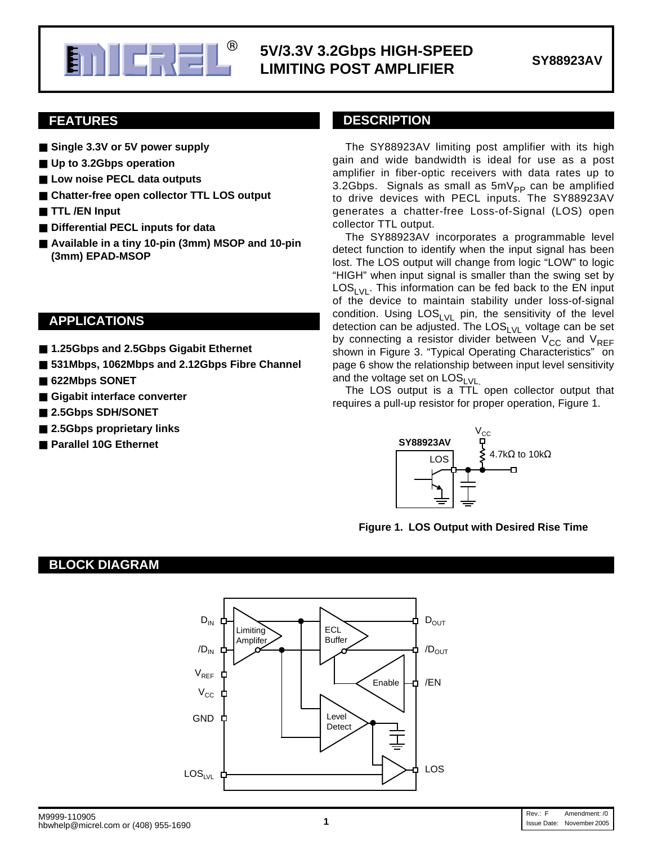

### **E. AND FULLER IN STREED SV/3.3V 3.2Gbps HIGH-SPEED EXECUTED LIMITING POST AMPLIFIER SY88923AV**

### **FEATURES**

- Single 3.3V or 5V power supply
- **Up to 3.2Gbps operation**
- Low noise PECL data outputs
- Chatter-free open collector TTL LOS output
- **TTL** /**EN** Input
- Differential PECL inputs for data
- Available in a tiny 10-pin (3mm) MSOP and 10-pin **(3mm) EPAD-MSOP**

### **APPLICATIONS**

- 1.25Gbps and 2.5Gbps Gigabit Ethernet
- 531Mbps, 1062Mbps and 2.12Gbps Fibre Channel
- 622Mbps SONET
- Gigabit interface converter
- 2.5Gbps SDH/SONET
- 2.5Gbps proprietary links
- **Parallel 10G Ethernet**

#### **DESCRIPTION**

The SY88923AV limiting post amplifier with its high gain and wide bandwidth is ideal for use as a post amplifier in fiber-optic receivers with data rates up to 3.2Gbps. Signals as small as  $5mV_{\text{PP}}$  can be amplified to drive devices with PECL inputs. The SY88923AV generates a chatter-free Loss-of-Signal (LOS) open collector TTL output.

The SY88923AV incorporates a programmable level detect function to identify when the input signal has been lost. The LOS output will change from logic "LOW" to logic "HIGH" when input signal is smaller than the swing set by  $LOS<sub>1</sub>_{VI}$ . This information can be fed back to the EN input of the device to maintain stability under loss-of-signal condition. Using  $LOS_{LVL}$  pin, the sensitivity of the level detection can be adjusted. The LOS<sub>LVL</sub> voltage can be set by connecting a resistor divider between  $V_{CC}$  and  $V_{REF}$ shown in Figure 3. "Typical Operating Characteristics" on page 6 show the relationship between input level sensitivity and the voltage set on  $\text{LOS}_{\text{LVL}}$ .

The LOS output is a TTL open collector output that requires a pull-up resistor for proper operation, Figure 1.



#### **Figure 1. LOS Output with Desired Rise Time**

#### **BLOCK DIAGRAM**

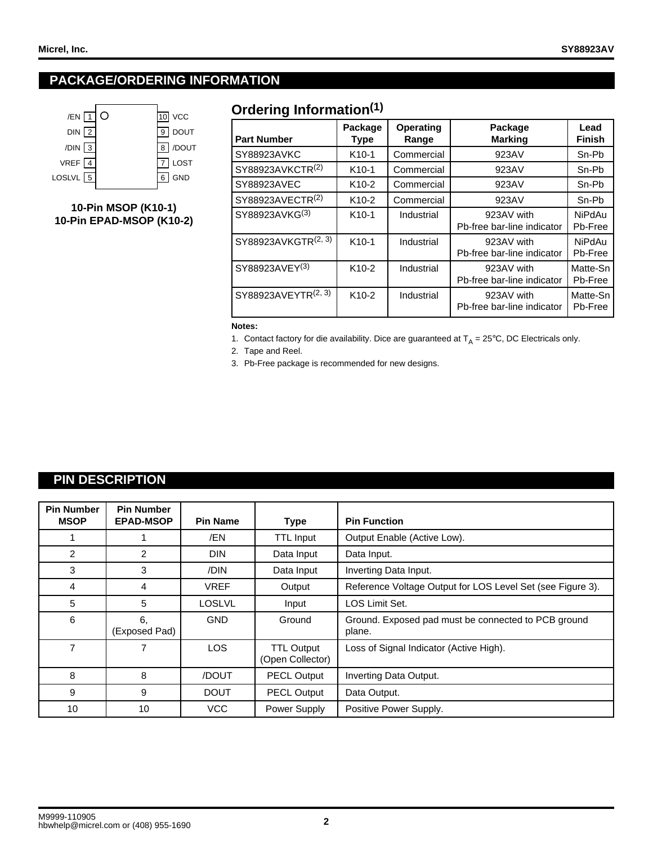## **PACKAGE/ORDERING INFORMATION**



**10-Pin MSOP (K10-1) 10-Pin EPAD-MSOP (K10-2)**

## **Ordering Information(1)**

| <b>Part Number</b>              | Package<br>Type    | <b>Operating</b><br>Range | Package<br><b>Marking</b>                | Lead<br><b>Finish</b> |
|---------------------------------|--------------------|---------------------------|------------------------------------------|-----------------------|
| SY88923AVKC                     | K <sub>10-1</sub>  | Commercial                | 923AV                                    | Sn-Pb                 |
| SY88923AVKCTR <sup>(2)</sup>    | K <sub>10-1</sub>  | Commercial                | 923AV                                    | Sn-Pb                 |
| SY88923AVEC                     | K <sub>10</sub> -2 | Commercial                | 923AV                                    | Sn-Pb                 |
| SY88923AVECTR(2)                | K <sub>10</sub> -2 | Commercial                | 923AV                                    | Sn-Pb                 |
| SY88923AVKG <sup>(3)</sup>      | $K10-1$            | Industrial                | 923AV with<br>Pb-free bar-line indicator | NiPdAu<br>Pb-Free     |
| SY88923AVKGTR <sup>(2, 3)</sup> | $K10-1$            | Industrial                | 923AV with<br>Pb-free bar-line indicator | NiPdAu<br>Pb-Free     |
| SY88923AVEY <sup>(3)</sup>      | K <sub>10</sub> -2 | Industrial                | 923AV with<br>Pb-free bar-line indicator | Matte-Sn<br>Pb-Free   |
| SY88923AVEYTR <sup>(2, 3)</sup> | K <sub>10</sub> -2 | Industrial                | 923AV with<br>Pb-free bar-line indicator | Matte-Sn<br>Pb-Free   |

#### **Notes:**

1. Contact factory for die availability. Dice are guaranteed at  $T_A = 25^{\circ}$ C, DC Electricals only.

2. Tape and Reel.

3. Pb-Free package is recommended for new designs.

### **PIN DESCRIPTION**

| <b>Pin Number</b><br><b>MSOP</b> | <b>Pin Number</b><br><b>EPAD-MSOP</b> | <b>Pin Name</b> | <b>Type</b>                           | <b>Pin Function</b>                                           |
|----------------------------------|---------------------------------------|-----------------|---------------------------------------|---------------------------------------------------------------|
|                                  |                                       | /EN             | <b>TTL Input</b>                      | Output Enable (Active Low).                                   |
| $\overline{2}$                   | 2                                     | <b>DIN</b>      | Data Input                            | Data Input.                                                   |
| 3                                | 3                                     | /DIN            | Data Input                            | Inverting Data Input.                                         |
| 4                                | 4                                     | <b>VREF</b>     | Output                                | Reference Voltage Output for LOS Level Set (see Figure 3).    |
| 5                                | 5                                     | <b>LOSLVL</b>   | Input                                 | <b>LOS Limit Set.</b>                                         |
| 6                                | 6.<br>(Exposed Pad)                   | <b>GND</b>      | Ground                                | Ground. Exposed pad must be connected to PCB ground<br>plane. |
| 7                                |                                       | <b>LOS</b>      | <b>TTL Output</b><br>(Open Collector) | Loss of Signal Indicator (Active High).                       |
| 8                                | 8                                     | /DOUT           | <b>PECL Output</b>                    | Inverting Data Output.                                        |
| 9                                | 9                                     | <b>DOUT</b>     | <b>PECL Output</b>                    | Data Output.                                                  |
| 10                               | 10                                    | VCC.            | Power Supply                          | Positive Power Supply.                                        |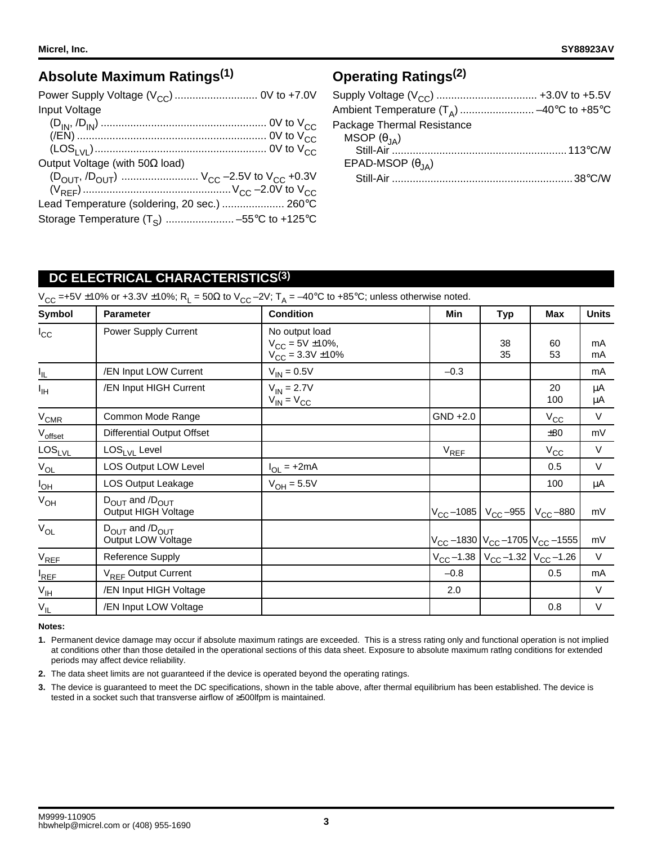### **Absolute Maximum Ratings(1)**

| Input Voltage                                                                     |  |
|-----------------------------------------------------------------------------------|--|
|                                                                                   |  |
|                                                                                   |  |
|                                                                                   |  |
| Output Voltage (with $50\Omega$ load)                                             |  |
| $(D_{\text{OUT}}, D_{\text{OUT}})$ $V_{\text{CC}}$ –2.5V to $V_{\text{CC}}$ +0.3V |  |
|                                                                                   |  |
| Lead Temperature (soldering, 20 sec.)  260°C                                      |  |
|                                                                                   |  |

## **Operating Ratings(2)**

| Ambient Temperature $(T_A)$ -40°C to +85°C |  |
|--------------------------------------------|--|
| Package Thermal Resistance                 |  |
| MSOP $(\theta_{JA})$                       |  |
|                                            |  |
| EPAD-MSOP $(\theta_{JA})$                  |  |
|                                            |  |
|                                            |  |

### **DC ELECTRICAL CHARACTERISTICS(3)**

 $V_{CC}$  =+5V ±10% or +3.3V ±10%; R<sub>L</sub> = 50 $\Omega$  to  $V_{CC}$  –2V; T<sub>A</sub> = –40°C to +85°C; unless otherwise noted.

| Symbol                   | <b>Parameter</b>                                              | <b>Condition</b>                                                      | Min                                                                 | <b>Typ</b>                                                                        | Max          | <b>Units</b> |
|--------------------------|---------------------------------------------------------------|-----------------------------------------------------------------------|---------------------------------------------------------------------|-----------------------------------------------------------------------------------|--------------|--------------|
| $I_{\rm CC}$             | Power Supply Current                                          | No output load<br>$V_{CC} = 5V \pm 10\%,$<br>$V_{CC} = 3.3V \pm 10\%$ |                                                                     | 38<br>35                                                                          | 60<br>53     | mA<br>mA     |
| $\underline{\mathsf{h}}$ | /EN Input LOW Current                                         | $V_{IN} = 0.5V$                                                       | $-0.3$                                                              |                                                                                   |              | mA           |
| Īщ                       | /EN Input HIGH Current                                        | $V_{IN} = 2.7V$<br>$V_{IN} = V_{CC}$                                  |                                                                     |                                                                                   | 20<br>100    | μA<br>μA     |
| $V_{CMR}$                | Common Mode Range                                             |                                                                       | $GND +2.0$                                                          |                                                                                   | $V_{\rm CC}$ | $\vee$       |
| Voffset                  | <b>Differential Output Offset</b>                             |                                                                       |                                                                     |                                                                                   | ±80          | mV           |
| $LOS_{LVL}$              | $LOS1 VI$ Level                                               |                                                                       | $V_{REF}$                                                           |                                                                                   | $V_{\rm CC}$ | $\vee$       |
| $V_{OL}$                 | LOS Output LOW Level                                          | $I_{OL}$ = +2mA                                                       |                                                                     |                                                                                   | 0.5          | $\vee$       |
| $I_{OH}$                 | <b>LOS Output Leakage</b>                                     | $V_{OH} = 5.5V$                                                       |                                                                     |                                                                                   | 100          | μA           |
| $V_{OH}$                 | $D_{\text{OUT}}$ and $/D_{\text{OUT}}$<br>Output HIGH Voltage |                                                                       | $V_{\text{CC}}$ –1085   V <sub>CC</sub> –955   V <sub>CC</sub> –880 |                                                                                   |              | mV           |
| $V_{OL}$                 | D <sub>OUT</sub> and /D <sub>OUT</sub><br>Output LOW Voltage  |                                                                       |                                                                     | $\rm\left V_{CC}$ –1830 $\rm\left V_{CC}$ –1705 $\rm\left V_{CC}$ –1555 $\right $ |              | mV           |
| $V_{REF}$                | Reference Supply                                              |                                                                       |                                                                     | $V_{\text{CC}}$ –1.38   $V_{\text{CC}}$ –1.32   $V_{\text{CC}}$ –1.26             |              | $\vee$       |
| $I_{REF}$                | $V_{RFF}$ Output Current                                      |                                                                       | $-0.8$                                                              |                                                                                   | 0.5          | mA           |
| $V_{IH}$                 | /EN Input HIGH Voltage                                        |                                                                       | 2.0                                                                 |                                                                                   |              | $\vee$       |
| $\rm V_{\rm IL}$         | /EN Input LOW Voltage                                         |                                                                       |                                                                     |                                                                                   | 0.8          | $\vee$       |

#### **Notes:**

- **1.** Permanent device damage may occur if absolute maximum ratings are exceeded. This is a stress rating only and functional operation is not implied at conditions other than those detailed in the operational sections of this data sheet. Exposure to absolute maximum ratlng conditions for extended periods may affect device reliability.
- **2.** The data sheet limits are not guaranteed if the device is operated beyond the operating ratings.
- **3.** The device is guaranteed to meet the DC specifications, shown in the table above, after thermal equilibrium has been established. The device is tested in a socket such that transverse airflow of ≥500lfpm is maintained.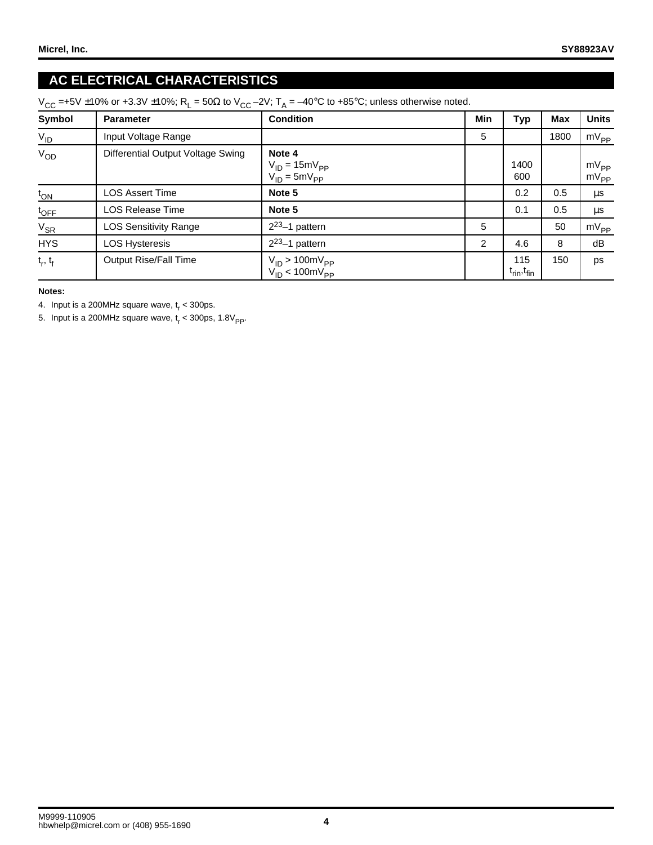## **AC ELECTRICAL CHARACTERISTICS**

| $V_{CC}$ =+5V ±10% or +3.3V ±10%; R <sub>L</sub> = 50Ω to V <sub>CC</sub> -2V; T <sub>A</sub> = -40°C to +85°C; unless otherwise noted. |  |  |  |  |  |
|-----------------------------------------------------------------------------------------------------------------------------------------|--|--|--|--|--|
|-----------------------------------------------------------------------------------------------------------------------------------------|--|--|--|--|--|

| Symbol           | <b>Parameter</b>                  | <b>Condition</b>                                      | Min | Тур                                        | <b>Max</b> | <b>Units</b>           |
|------------------|-----------------------------------|-------------------------------------------------------|-----|--------------------------------------------|------------|------------------------|
| $V_{ID}$         | Input Voltage Range               |                                                       | 5   |                                            | 1800       | $mV_{PP}$              |
| $V_{OD}$         | Differential Output Voltage Swing | Note 4<br>$V_{ID} = 15mV_{PP}$<br>$V_{ID} = 5mV_{PP}$ |     | 1400<br>600                                |            | $mV_{PP}$<br>$mV_{PP}$ |
| $t_{ON}$         | <b>LOS Assert Time</b>            | Note 5                                                |     | 0.2                                        | 0.5        | μs                     |
| $t_{\text{OFF}}$ | <b>LOS Release Time</b>           | Note 5                                                |     | 0.1                                        | 0.5        | μs                     |
| $V_{SR}$         | <b>LOS Sensitivity Range</b>      | $2^{23}$ -1 pattern                                   | 5   |                                            | 50         | $mV_{PP}$              |
| <b>HYS</b>       | <b>LOS Hysteresis</b>             | $2^{23}$ -1 pattern                                   | 2   | 4.6                                        | 8          | dB                     |
| $t_r, t_f$       | <b>Output Rise/Fall Time</b>      | $V_{ID}$ > 100m $V_{PP}$<br>$V_{ID}$ < 100m $V_{PP}$  |     | 115<br>$t_{\text{rin}}$ , $t_{\text{fin}}$ | 150        | ps                     |

**Notes:**

4. Input is a 200MHz square wave,  $t_r < 300$ ps.

5. Input is a 200MHz square wave,  $t_r$  < 300ps, 1.8V<sub>PP</sub>.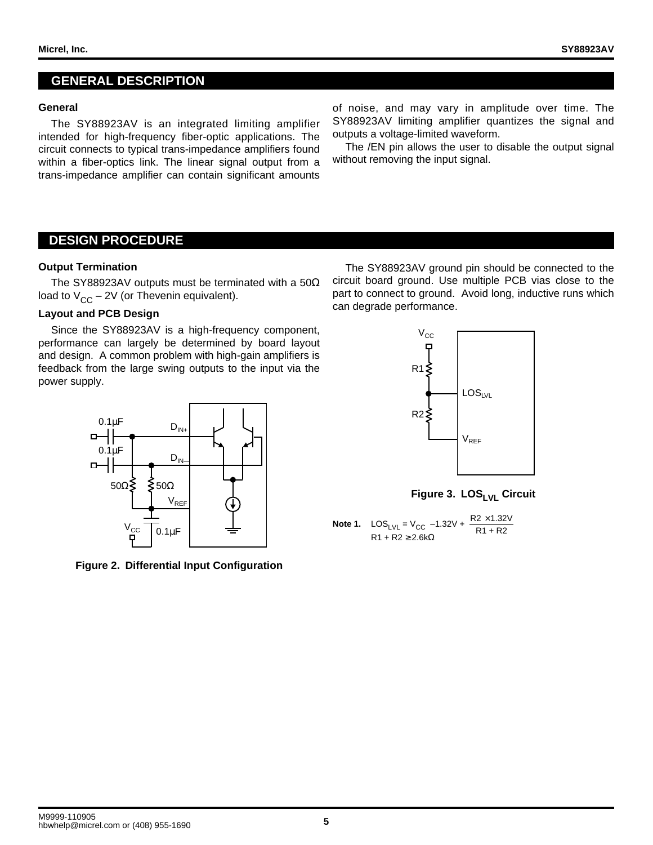#### **GENERAL DESCRIPTION**

#### **General**

The SY88923AV is an integrated limiting amplifier intended for high-frequency fiber-optic applications. The circuit connects to typical trans-impedance amplifiers found within a fiber-optics link. The linear signal output from a trans-impedance amplifier can contain significant amounts

of noise, and may vary in amplitude over time. The SY88923AV limiting amplifier quantizes the signal and outputs a voltage-limited waveform.

The /EN pin allows the user to disable the output signal without removing the input signal.

#### **DESIGN PROCEDURE**

#### **Output Termination**

The SY88923AV outputs must be terminated with a 50Ω load to  $V_{CC}$  – 2V (or Thevenin equivalent).

#### **Layout and PCB Design**

Since the SY88923AV is a high-frequency component, performance can largely be determined by board layout and design. A common problem with high-gain amplifiers is feedback from the large swing outputs to the input via the power supply.



**Figure 2. Differential Input Configuration**

The SY88923AV ground pin should be connected to the circuit board ground. Use multiple PCB vias close to the part to connect to ground. Avoid long, inductive runs which can degrade performance.



Figure 3. LOS<sub>LVL</sub> Circuit

**Note 1.**  $\text{LOS}_{\text{LVL}} = V_{\text{CC}} -1.32V + \frac{\text{R2} \times 1.32V}{\text{R1} + \text{R2}}$  $R1 + R2 \geq 2.6k\Omega$ R1 + R2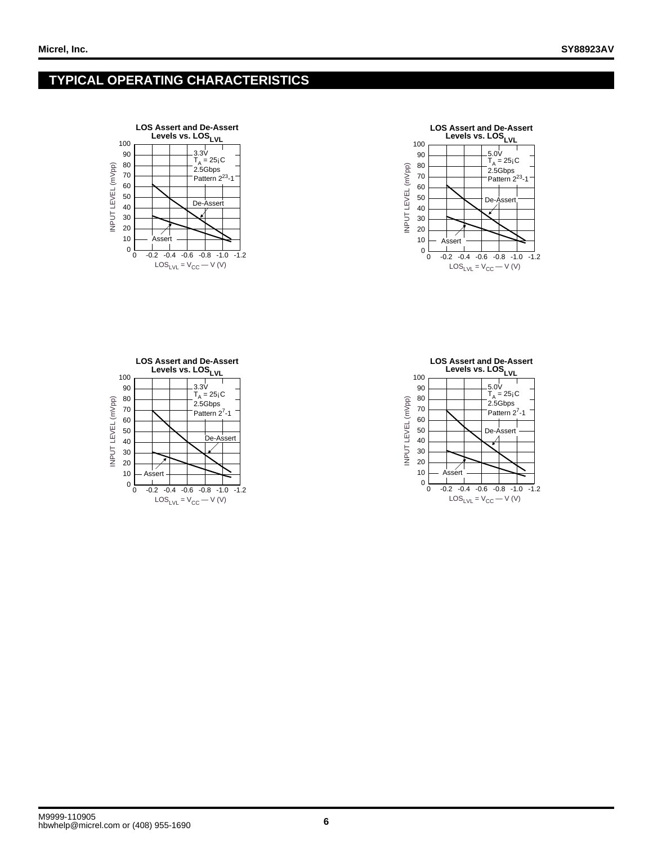### **TYPICAL OPERATING CHARACTERISTICS**







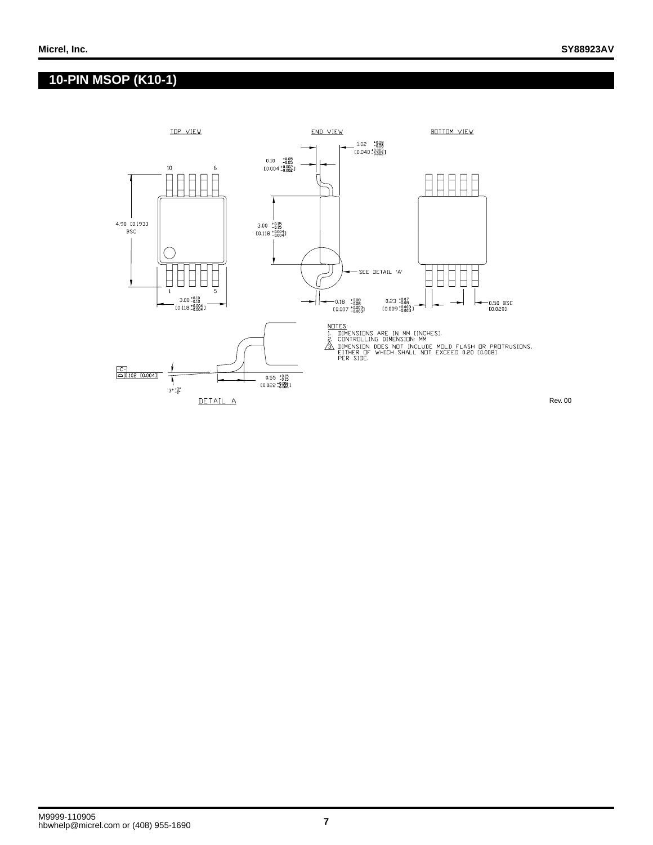### **10-PIN MSOP (K10-1)**



Rev. 00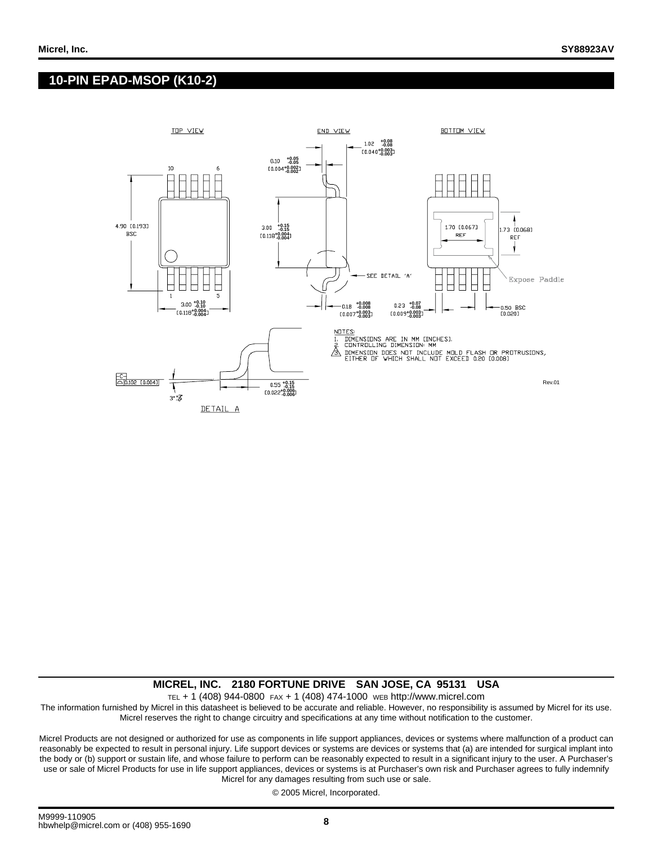### **10-PIN EPAD-MSOP (K10-2)**



#### **MICREL, INC. 2180 FORTUNE DRIVE SAN JOSE, CA 95131 USA**

TEL + 1 (408) 944-0800 FAX + 1 (408) 474-1000 WEB http://www.micrel.com

The information furnished by Micrel in this datasheet is believed to be accurate and reliable. However, no responsibility is assumed by Micrel for its use. Micrel reserves the right to change circuitry and specifications at any time without notification to the customer.

Micrel Products are not designed or authorized for use as components in life support appliances, devices or systems where malfunction of a product can reasonably be expected to result in personal injury. Life support devices or systems are devices or systems that (a) are intended for surgical implant into the body or (b) support or sustain life, and whose failure to perform can be reasonably expected to result in a significant injury to the user. A Purchaser's use or sale of Micrel Products for use in life support appliances, devices or systems is at Purchaser's own risk and Purchaser agrees to fully indemnify Micrel for any damages resulting from such use or sale.

© 2005 Micrel, Incorporated.